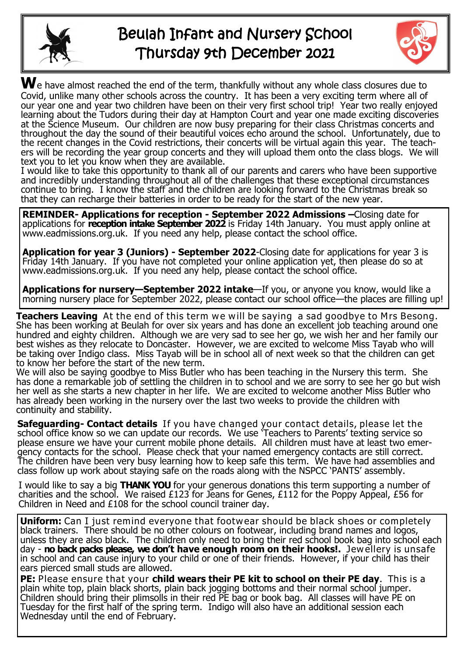

## Beulah Infant and Nursery School Thursday 9th December 2021



We have almost reached the end of the term, thankfully without any whole class closures due to Covid, unlike many other schools across the country. It has been a very exciting term where all of our year one and year two children have been on their very first school trip! Year two really enjoyed learning about the Tudors during their day at Hampton Court and year one made exciting discoveries at the Science Museum. Our children are now busy preparing for their class Christmas concerts and throughout the day the sound of their beautiful voices echo around the school. Unfortunately, due to the recent changes in the Covid restrictions, their concerts will be virtual again this year. The teachers will be recording the year group concerts and they will upload them onto the class blogs. We will text you to let you know when they are available.

I would like to take this opportunity to thank all of our parents and carers who have been supportive and incredibly understanding throughout all of the challenges that these exceptional circumstances continue to bring. I know the staff and the children are looking forward to the Christmas break so that they can recharge their batteries in order to be ready for the start of the new year.

**REMINDER- Applications for reception - September 2022 Admissions –**Closing date for applications for **reception intake September 2022** is Friday 14th January. You must apply online at www.eadmissions.org.uk. If you need any help, please contact the school office.

**Application for year 3 (Juniors) - September 2022**-Closing date for applications for year 3 is Friday 14th January. If you have not completed your online application yet, then please do so at www.eadmissions.org.uk. If you need any help, please contact the school office.

**Applications for nursery—September 2022 intake**—If you, or anyone you know, would like a morning nursery place for September 2022, please contact our school office—the places are filling up!

**Teachers Leaving** At the end of this term we will be saying a sad goodbye to Mrs Besong. She has been working at Beulah for over six years and has done an excellent job teaching around one hundred and eighty children. Although we are very sad to see her go, we wish her and her family our best wishes as they relocate to Doncaster. However, we are excited to welcome Miss Tayab who will be taking over Indigo class. Miss Tayab will be in school all of next week so that the children can get to know her before the start of the new term.

We will also be saying goodbye to Miss Butler who has been teaching in the Nursery this term. She has done a remarkable job of settling the children in to school and we are sorry to see her go but wish her well as she starts a new chapter in her life. We are excited to welcome another Miss Butler who has already been working in the nursery over the last two weeks to provide the children with continuity and stability.

**Safeguarding- Contact details** If you have changed your contact details, please let the school office know so we can update our records. We use 'Teachers to Parents' texting service so please ensure we have your current mobile phone details. All children must have at least two emergency contacts for the school. Please check that your named emergency contacts are still correct. The children have been very busy learning how to keep safe this term. We have had assemblies and class follow up work about staying safe on the roads along with the NSPCC 'PANTS' assembly.

I would like to say a big **THANK YOU** for your generous donations this term supporting a number of charities and the school. We raised £123 for Jeans for Genes, £112 for the Poppy Appeal, £56 for Children in Need and £108 for the school council trainer day.

**Uniform:** Can I just remind everyone that footwear should be black shoes or completely black trainers. There should be no other colours on footwear, including brand names and logos, unless they are also black. The children only need to bring their red school book bag into school each day - **no back packs please, we don't have enough room on their hooks!.** Jew ellery is unsafe in school and can cause injury to your child or one of their friends. However, if your child has their ears pierced small studs are allowed.

**PE:** Please ensure that your **child wears their PE kit to school on their PE day**. This is a plain white top, plain black shorts, plain back jogging bottoms and their normal school jumper. Children should bring their plimsolls in their red PE bag or book bag. All classes will have PE on Tuesday for the first half of the spring term. Indigo will also have an additional session each Wednesday until the end of February.